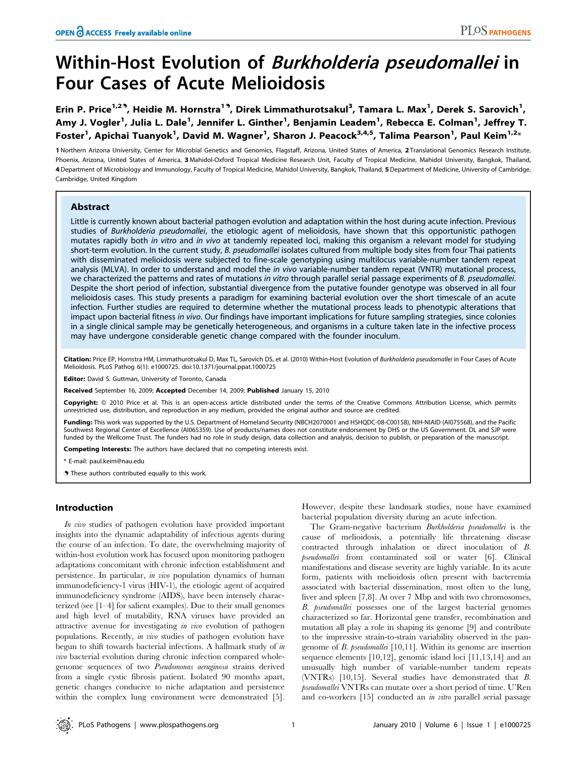# Within-Host Evolution of Burkholderia pseudomallei in Four Cases of Acute Melioidosis

Erin P. Price<sup>1,29</sup>, Heidie M. Hornstra<sup>19</sup>, Direk Limmathurotsakul<sup>3</sup>, Tamara L. Max<sup>1</sup>, Derek S. Sarovich<sup>1</sup>, Amy J. Vogler<sup>1</sup>, Julia L. Dale<sup>1</sup>, Jennifer L. Ginther<sup>1</sup>, Benjamin Leadem<sup>1</sup>, Rebecca E. Colman<sup>1</sup>, Jeffrey T. Foster<sup>1</sup>, Apichai Tuanyok<sup>1</sup>, David M. Wagner<sup>1</sup>, Sharon J. Peacock<sup>3,4,5</sup>, Talima Pearson<sup>1</sup>, Paul Keim<sup>1,2</sup>\*

1 Northern Arizona University, Center for Microbial Genetics and Genomics, Flagstaff, Arizona, United States of America, 2 Translational Genomics Research Institute, Phoenix, Arizona, United States of America, 3 Mahidol-Oxford Tropical Medicine Research Unit, Faculty of Tropical Medicine, Mahidol University, Bangkok, Thailand, 4 Department of Microbiology and Immunology, Faculty of Tropical Medicine, Mahidol University, Bangkok, Thailand, 5Department of Medicine, University of Cambridge, Cambridge, United Kingdom

# Abstract

Little is currently known about bacterial pathogen evolution and adaptation within the host during acute infection. Previous studies of Burkholderia pseudomallei, the etiologic agent of melioidosis, have shown that this opportunistic pathogen mutates rapidly both in vitro and in vivo at tandemly repeated loci, making this organism a relevant model for studying short-term evolution. In the current study, B. pseudomallei isolates cultured from multiple body sites from four Thai patients with disseminated melioidosis were subjected to fine-scale genotyping using multilocus variable-number tandem repeat analysis (MLVA). In order to understand and model the in vivo variable-number tandem repeat (VNTR) mutational process, we characterized the patterns and rates of mutations in vitro through parallel serial passage experiments of B. pseudomallei. Despite the short period of infection, substantial divergence from the putative founder genotype was observed in all four melioidosis cases. This study presents a paradigm for examining bacterial evolution over the short timescale of an acute infection. Further studies are required to determine whether the mutational process leads to phenotypic alterations that impact upon bacterial fitness in vivo. Our findings have important implications for future sampling strategies, since colonies in a single clinical sample may be genetically heterogeneous, and organisms in a culture taken late in the infective process may have undergone considerable genetic change compared with the founder inoculum.

Citation: Price EP, Hornstra HM, Limmathurotsakul D, Max TL, Sarovich DS, et al. (2010) Within-Host Evolution of Burkholderia pseudomallei in Four Cases of Acute Melioidosis. PLoS Pathog 6(1): e1000725. doi:10.1371/journal.ppat.1000725

Editor: David S. Guttman, University of Toronto, Canada

Received September 16, 2009; Accepted December 14, 2009; Published January 15, 2010

Copyright: @ 2010 Price et al. This is an open-access article distributed under the terms of the Creative Commons Attribution License, which permits unrestricted use, distribution, and reproduction in any medium, provided the original author and source are credited.

Funding: This work was supported by the U.S. Department of Homeland Security (NBCH2070001 and HSHQDC-08-C00158), NIH-NIAID (AI075568), and the Pacific Southwest Regional Center of Excellence (AI065359). Use of products/names does not constitute endorsement by DHS or the US Government. DL and SJP were funded by the Wellcome Trust. The funders had no role in study design, data collection and analysis, decision to publish, or preparation of the manuscript.

Competing Interests: The authors have declared that no competing interests exist.

\* E-mail: paul.keim@nau.edu

. These authors contributed equally to this work.

# Introduction

In vivo studies of pathogen evolution have provided important insights into the dynamic adaptability of infectious agents during the course of an infection. To date, the overwhelming majority of within-host evolution work has focused upon monitoring pathogen adaptations concomitant with chronic infection establishment and persistence. In particular, in vivo population dynamics of human immunodeficiency-1 virus (HIV-1), the etiologic agent of acquired immunodeficiency syndrome (AIDS), have been intensely characterized (see [1–4] for salient examples). Due to their small genomes and high level of mutability, RNA viruses have provided an attractive avenue for investigating in vivo evolution of pathogen populations. Recently, in vivo studies of pathogen evolution have begun to shift towards bacterial infections. A hallmark study of in vivo bacterial evolution during chronic infection compared wholegenome sequences of two Pseudomonas aeruginosa strains derived from a single cystic fibrosis patient. Isolated 90 months apart, genetic changes conducive to niche adaptation and persistence within the complex lung environment were demonstrated [5].

However, despite these landmark studies, none have examined bacterial population diversity during an acute infection.

The Gram-negative bacterium Burkholderia pseudomallei is the cause of melioidosis, a potentially life threatening disease contracted through inhalation or direct inoculation of B. pseudomallei from contaminated soil or water [6]. Clinical manifestations and disease severity are highly variable. In its acute form, patients with melioidosis often present with bacteremia associated with bacterial dissemination, most often to the lung, liver and spleen [7,8]. At over 7 Mbp and with two chromosomes, B. pseudomallei possesses one of the largest bacterial genomes characterized so far. Horizontal gene transfer, recombination and mutation all play a role in shaping its genome [9] and contribute to the impressive strain-to-strain variability observed in the pangenome of B. pseudomallei [10,11]. Within its genome are insertion sequence elements [10,12], genomic island loci [11,13,14] and an unusually high number of variable-number tandem repeats (VNTRs) [10,15]. Several studies have demonstrated that B. pseudomallei VNTRs can mutate over a short period of time. U'Ren and co-workers [15] conducted an in vitro parallel serial passage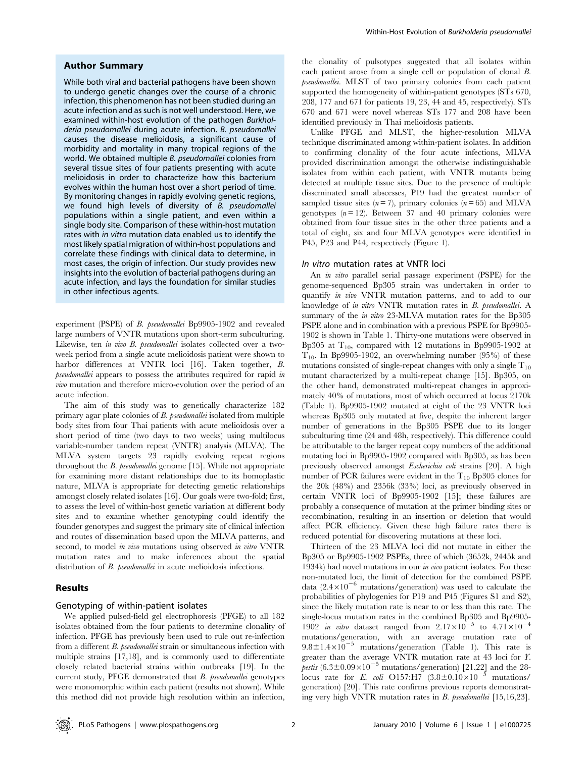# Author Summary

While both viral and bacterial pathogens have been shown to undergo genetic changes over the course of a chronic infection, this phenomenon has not been studied during an acute infection and as such is not well understood. Here, we examined within-host evolution of the pathogen Burkholderia pseudomallei during acute infection. B. pseudomallei causes the disease melioidosis, a significant cause of morbidity and mortality in many tropical regions of the world. We obtained multiple B. pseudomallei colonies from several tissue sites of four patients presenting with acute melioidosis in order to characterize how this bacterium evolves within the human host over a short period of time. By monitoring changes in rapidly evolving genetic regions, we found high levels of diversity of B. pseudomallei populations within a single patient, and even within a single body site. Comparison of these within-host mutation rates with in vitro mutation data enabled us to identify the most likely spatial migration of within-host populations and correlate these findings with clinical data to determine, in most cases, the origin of infection. Our study provides new insights into the evolution of bacterial pathogens during an acute infection, and lays the foundation for similar studies in other infectious agents.

experiment (PSPE) of B. pseudomallei Bp9905-1902 and revealed large numbers of VNTR mutations upon short-term subculturing. Likewise, ten in vivo B. pseudomallei isolates collected over a twoweek period from a single acute melioidosis patient were shown to harbor differences at VNTR loci [16]. Taken together, B. pseudomallei appears to possess the attributes required for rapid in vivo mutation and therefore micro-evolution over the period of an acute infection.

The aim of this study was to genetically characterize 182 primary agar plate colonies of B. pseudomallei isolated from multiple body sites from four Thai patients with acute melioidosis over a short period of time (two days to two weeks) using multilocus variable-number tandem repeat (VNTR) analysis (MLVA). The MLVA system targets 23 rapidly evolving repeat regions throughout the B. pseudomallei genome [15]. While not appropriate for examining more distant relationships due to its homoplastic nature, MLVA is appropriate for detecting genetic relationships amongst closely related isolates [16]. Our goals were two-fold; first, to assess the level of within-host genetic variation at different body sites and to examine whether genotyping could identify the founder genotypes and suggest the primary site of clinical infection and routes of dissemination based upon the MLVA patterns, and second, to model in vivo mutations using observed in vitro VNTR mutation rates and to make inferences about the spatial distribution of *B. pseudomallei* in acute melioidosis infections.

# Results

# Genotyping of within-patient isolates

We applied pulsed-field gel electrophoresis (PFGE) to all 182 isolates obtained from the four patients to determine clonality of infection. PFGE has previously been used to rule out re-infection from a different B. pseudomallei strain or simultaneous infection with multiple strains [17,18], and is commonly used to differentiate closely related bacterial strains within outbreaks [19]. In the current study, PFGE demonstrated that B. pseudomallei genotypes were monomorphic within each patient (results not shown). While this method did not provide high resolution within an infection,

the clonality of pulsotypes suggested that all isolates within each patient arose from a single cell or population of clonal B. pseudomallei. MLST of two primary colonies from each patient supported the homogeneity of within-patient genotypes (STs 670, 208, 177 and 671 for patients 19, 23, 44 and 45, respectively). STs 670 and 671 were novel whereas STs 177 and 208 have been identified previously in Thai melioidosis patients.

Unlike PFGE and MLST, the higher-resolution MLVA technique discriminated among within-patient isolates. In addition to confirming clonality of the four acute infections, MLVA provided discrimination amongst the otherwise indistinguishable isolates from within each patient, with VNTR mutants being detected at multiple tissue sites. Due to the presence of multiple disseminated small abscesses, P19 had the greatest number of sampled tissue sites  $(n = 7)$ , primary colonies  $(n = 65)$  and MLVA genotypes  $(n = 12)$ . Between 37 and 40 primary colonies were obtained from four tissue sites in the other three patients and a total of eight, six and four MLVA genotypes were identified in P45, P23 and P44, respectively (Figure 1).

## In vitro mutation rates at VNTR loci

An in vitro parallel serial passage experiment (PSPE) for the genome-sequenced Bp305 strain was undertaken in order to quantify in vivo VNTR mutation patterns, and to add to our knowledge of in vitro VNTR mutation rates in B. pseudomallei. A summary of the *in vitro* 23-MLVA mutation rates for the Bp305 PSPE alone and in combination with a previous PSPE for Bp9905- 1902 is shown in Table 1. Thirty-one mutations were observed in Bp305 at  $T_{10}$ , compared with 12 mutations in Bp9905-1902 at  $T_{10}$ . In Bp9905-1902, an overwhelming number (95%) of these mutations consisted of single-repeat changes with only a single  $T_{10}$ mutant characterized by a multi-repeat change [15]. Bp305, on the other hand, demonstrated multi-repeat changes in approximately 40% of mutations, most of which occurred at locus 2170k (Table 1). Bp9905-1902 mutated at eight of the 23 VNTR loci whereas Bp305 only mutated at five, despite the inherent larger number of generations in the Bp305 PSPE due to its longer subculturing time (24 and 48h, respectively). This difference could be attributable to the larger repeat copy numbers of the additional mutating loci in Bp9905-1902 compared with Bp305, as has been previously observed amongst Escherichia coli strains [20]. A high number of PCR failures were evident in the  $T_{10}$  Bp305 clones for the 20k (48%) and 2356k (33%) loci, as previously observed in certain VNTR loci of Bp9905-1902 [15]; these failures are probably a consequence of mutation at the primer binding sites or recombination, resulting in an insertion or deletion that would affect PCR efficiency. Given these high failure rates there is reduced potential for discovering mutations at these loci.

Thirteen of the 23 MLVA loci did not mutate in either the Bp305 or Bp9905-1902 PSPEs, three of which (3652k, 2445k and 1934k) had novel mutations in our in vivo patient isolates. For these non-mutated loci, the limit of detection for the combined PSPE data  $(2.4\times10^{-6}$  mutations/generation) was used to calculate the probabilities of phylogenies for P19 and P45 (Figures S1 and S2), since the likely mutation rate is near to or less than this rate. The single-locus mutation rates in the combined Bp305 and Bp9905- 1902 *in vitro* dataset ranged from  $2.17 \times 10^{-5}$  to  $4.71 \times 10^{-4}$ mutations/generation, with an average mutation rate of  $9.8 \pm 1.4 \times 10^{-5}$  mutations/generation (Table 1). This rate is greater than the average VNTR mutation rate at 43 loci for Y. pestis  $(6.3\pm0.09\times10^{-5}$  mutations/generation) [21,22] and the 28locus rate for E. coli O157:H7  $(3.8\pm0.10\times10^{-5}$  mutations/ generation) [20]. This rate confirms previous reports demonstrating very high VNTR mutation rates in B. pseudomallei [15,16,23].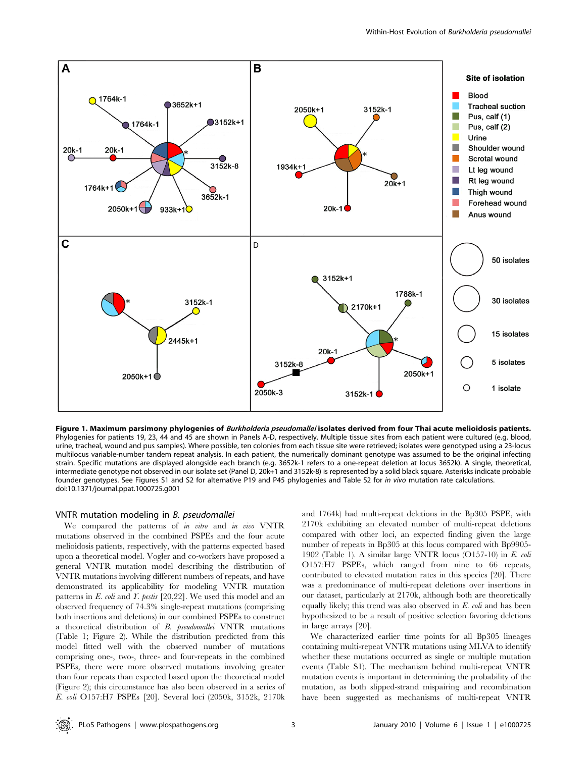

Figure 1. Maximum parsimony phylogenies of Burkholderia pseudomallei isolates derived from four Thai acute melioidosis patients. Phylogenies for patients 19, 23, 44 and 45 are shown in Panels A-D, respectively. Multiple tissue sites from each patient were cultured (e.g. blood, urine, tracheal, wound and pus samples). Where possible, ten colonies from each tissue site were retrieved; isolates were genotyped using a 23-locus multilocus variable-number tandem repeat analysis. In each patient, the numerically dominant genotype was assumed to be the original infecting strain. Specific mutations are displayed alongside each branch (e.g. 3652k-1 refers to a one-repeat deletion at locus 3652k). A single, theoretical, intermediate genotype not observed in our isolate set (Panel D, 20k+1 and 3152k-8) is represented by a solid black square. Asterisks indicate probable founder genotypes. See Figures S1 and S2 for alternative P19 and P45 phylogenies and Table S2 for in vivo mutation rate calculations. doi:10.1371/journal.ppat.1000725.g001

#### VNTR mutation modeling in B. pseudomallei

We compared the patterns of in vitro and in vivo VNTR mutations observed in the combined PSPEs and the four acute melioidosis patients, respectively, with the patterns expected based upon a theoretical model. Vogler and co-workers have proposed a general VNTR mutation model describing the distribution of VNTR mutations involving different numbers of repeats, and have demonstrated its applicability for modeling VNTR mutation patterns in  $E.$  coli and  $\hat{T}$ . pestis [20,22]. We used this model and an observed frequency of 74.3% single-repeat mutations (comprising both insertions and deletions) in our combined PSPEs to construct a theoretical distribution of B. pseudomallei VNTR mutations (Table 1; Figure 2). While the distribution predicted from this model fitted well with the observed number of mutations comprising one-, two-, three- and four-repeats in the combined PSPEs, there were more observed mutations involving greater than four repeats than expected based upon the theoretical model (Figure 2); this circumstance has also been observed in a series of E. coli O157:H7 PSPEs [20]. Several loci (2050k, 3152k, 2170k

and 1764k) had multi-repeat deletions in the Bp305 PSPE, with 2170k exhibiting an elevated number of multi-repeat deletions compared with other loci, an expected finding given the large number of repeats in Bp305 at this locus compared with Bp9905- 1902 (Table 1). A similar large VNTR locus (O157-10) in E. coli O157:H7 PSPEs, which ranged from nine to 66 repeats, contributed to elevated mutation rates in this species [20]. There was a predominance of multi-repeat deletions over insertions in our dataset, particularly at 2170k, although both are theoretically equally likely; this trend was also observed in E. coli and has been hypothesized to be a result of positive selection favoring deletions in large arrays [20].

We characterized earlier time points for all Bp305 lineages containing multi-repeat VNTR mutations using MLVA to identify whether these mutations occurred as single or multiple mutation events (Table S1). The mechanism behind multi-repeat VNTR mutation events is important in determining the probability of the mutation, as both slipped-strand mispairing and recombination have been suggested as mechanisms of multi-repeat VNTR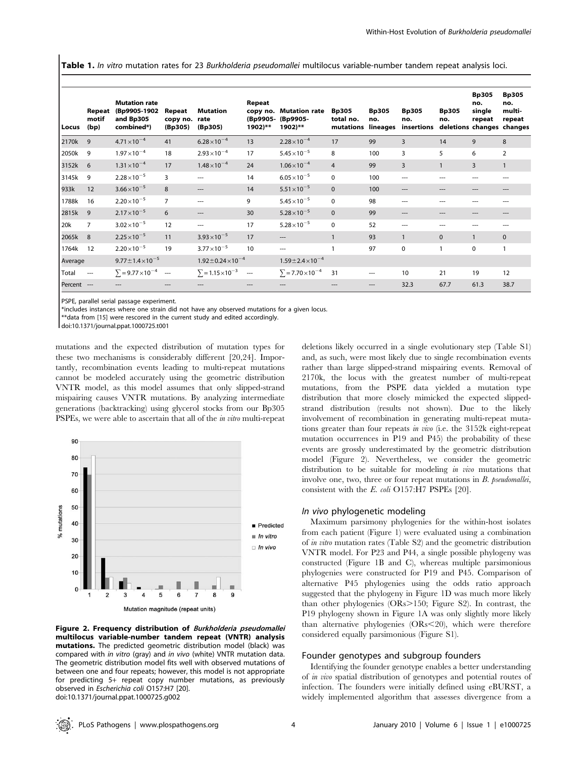Table 1. In vitro mutation rates for 23 Burkholderia pseudomallei multilocus variable-number tandem repeat analysis loci.

| Locus       | Repeat<br>motif<br>(bp) | <b>Mutation rate</b><br>(Bp9905-1902<br>and Bp305<br>combined*) | Repeat<br>copy no. rate<br>(Bp305) | <b>Mutation</b><br>(Bp305)     | Repeat<br>copy no.<br>(Bp9905-<br>1902)** | <b>Mutation rate</b><br>(Bp9905-<br>1902)** | <b>Bp305</b><br>total no.<br>mutations lineages | <b>Bp305</b><br>no. | <b>Bp305</b><br>no.<br>insertions | <b>Bp305</b><br>no. | <b>Bp305</b><br>no.<br>single<br>repeat | <b>Bp305</b><br>no.<br>multi-<br>repeat<br>deletions changes changes |
|-------------|-------------------------|-----------------------------------------------------------------|------------------------------------|--------------------------------|-------------------------------------------|---------------------------------------------|-------------------------------------------------|---------------------|-----------------------------------|---------------------|-----------------------------------------|----------------------------------------------------------------------|
| 2170k       | 9                       | $4.71 \times 10^{-4}$                                           | 41                                 | $6.28 \times 10^{-4}$          | 13                                        | $2.28 \times 10^{-4}$                       | 17                                              | 99                  | 3                                 | 14                  | 9                                       | 8                                                                    |
| 2050k       | 9                       | $1.97 \times 10^{-4}$                                           | 18                                 | $2.93 \times 10^{-4}$          | 17                                        | $5.45 \times 10^{-5}$                       | 8                                               | 100                 | 3                                 | 5                   | 6                                       | $\overline{2}$                                                       |
| 3152k       | 6                       | $1.31 \times 10^{-4}$                                           | 17                                 | $1.48 \times 10^{-4}$          | 24                                        | $1.06 \times 10^{-4}$                       | $\overline{4}$                                  | 99                  | 3                                 | $\mathbf{1}$        | 3                                       | $\mathbf{1}$                                                         |
| 3145k       | 9                       | $2.28 \times 10^{-5}$                                           | 3                                  | ---                            | 14                                        | $6.05 \times 10^{-5}$                       | $\mathbf 0$                                     | 100                 | $---$                             | $---$               |                                         | $-$                                                                  |
| 933k        | 12                      | $3.66 \times 10^{-5}$                                           | 8                                  | ---                            | 14                                        | $5.51 \times 10^{-5}$                       | $\Omega$                                        | 100                 | $---$                             | $---$               | $- - -$                                 | $-$                                                                  |
| 1788k       | 16                      | $2.20 \times 10^{-5}$                                           | $\overline{7}$                     | ---                            | 9                                         | $5.45 \times 10^{-5}$                       | $\Omega$                                        | 98                  | ---                               | $---$               | ---                                     |                                                                      |
| 2815k       | 9                       | $2.17 \times 10^{-5}$                                           | 6                                  | ---                            | 30                                        | $5.28 \times 10^{-5}$                       | $\Omega$                                        | 99                  | $---$                             | $- - -$             | ---                                     |                                                                      |
| 20k         | $\overline{7}$          | $3.02 \times 10^{-5}$                                           | 12                                 | ---                            | 17                                        | $5.28 \times 10^{-5}$                       | $\Omega$                                        | 52                  | $---$                             |                     |                                         |                                                                      |
| 2065k       | 8                       | $2.25 \times 10^{-5}$                                           | 11                                 | $3.93 \times 10^{-5}$          | 17                                        | ---                                         | $\mathbf{1}$                                    | 93                  | $\mathbf{1}$                      | $\mathbf{0}$        | $\mathbf{1}$                            | $\mathbf{0}$                                                         |
| 1764k       | 12                      | $2.20 \times 10^{-5}$                                           | 19                                 | $3.77 \times 10^{-5}$          | 10                                        | ---                                         | $\mathbf{1}$                                    | 97                  | $\mathbf 0$                       | 1                   | $\Omega$                                | $\mathbf{1}$                                                         |
| Average     |                         | $9.77 \pm 1.4 \times 10^{-5}$                                   |                                    | $1.92 \pm 0.24 \times 10^{-4}$ |                                           | $1.59 \pm 2.4 \times 10^{-4}$               |                                                 |                     |                                   |                     |                                         |                                                                      |
| Total       | $-$                     | $\Sigma = 9.77 \times 10^{-4}$                                  | $\overline{a}$                     | $\Sigma = 1.15 \times 10^{-3}$ | $\overline{a}$                            | $\Sigma$ = 7.70 $\times$ 10 <sup>-4</sup>   | 31                                              | ---                 | 10                                | 21                  | 19                                      | 12                                                                   |
| Percent --- |                         |                                                                 | $- - -$                            |                                | $- - -$                                   |                                             |                                                 | $- - -$             | 32.3                              | 67.7                | 61.3                                    | 38.7                                                                 |

PSPE, parallel serial passage experiment.

\*includes instances where one strain did not have any observed mutations for a given locus.

\*\*data from [15] were rescored in the current study and edited accordingly.

doi:10.1371/journal.ppat.1000725.t001

mutations and the expected distribution of mutation types for these two mechanisms is considerably different [20,24]. Importantly, recombination events leading to multi-repeat mutations cannot be modeled accurately using the geometric distribution VNTR model, as this model assumes that only slipped-strand mispairing causes VNTR mutations. By analyzing intermediate generations (backtracking) using glycerol stocks from our Bp305 PSPEs, we were able to ascertain that all of the *in vitro* multi-repeat



Figure 2. Frequency distribution of Burkholderia pseudomallei multilocus variable-number tandem repeat (VNTR) analysis mutations. The predicted geometric distribution model (black) was compared with in vitro (gray) and in vivo (white) VNTR mutation data. The geometric distribution model fits well with observed mutations of between one and four repeats; however, this model is not appropriate for predicting 5+ repeat copy number mutations, as previously observed in Escherichia coli O157:H7 [20]. doi:10.1371/journal.ppat.1000725.g002

deletions likely occurred in a single evolutionary step (Table S1) and, as such, were most likely due to single recombination events rather than large slipped-strand mispairing events. Removal of 2170k, the locus with the greatest number of multi-repeat mutations, from the PSPE data yielded a mutation type distribution that more closely mimicked the expected slippedstrand distribution (results not shown). Due to the likely involvement of recombination in generating multi-repeat mutations greater than four repeats in vivo (i.e. the 3152k eight-repeat mutation occurrences in P19 and P45) the probability of these events are grossly underestimated by the geometric distribution model (Figure 2). Nevertheless, we consider the geometric distribution to be suitable for modeling in vivo mutations that involve one, two, three or four repeat mutations in B. pseudomallei, consistent with the E. coli O157:H7 PSPEs [20].

#### In vivo phylogenetic modeling

Maximum parsimony phylogenies for the within-host isolates from each patient (Figure 1) were evaluated using a combination of in vitro mutation rates (Table S2) and the geometric distribution VNTR model. For P23 and P44, a single possible phylogeny was constructed (Figure 1B and C), whereas multiple parsimonious phylogenies were constructed for P19 and P45. Comparison of alternative P45 phylogenies using the odds ratio approach suggested that the phylogeny in Figure 1D was much more likely than other phylogenies  $(ORs>150;$  Figure S2). In contrast, the P19 phylogeny shown in Figure 1A was only slightly more likely than alternative phylogenies  $(ORs < 20)$ , which were therefore considered equally parsimonious (Figure S1).

#### Founder genotypes and subgroup founders

Identifying the founder genotype enables a better understanding of in vivo spatial distribution of genotypes and potential routes of infection. The founders were initially defined using eBURST, a widely implemented algorithm that assesses divergence from a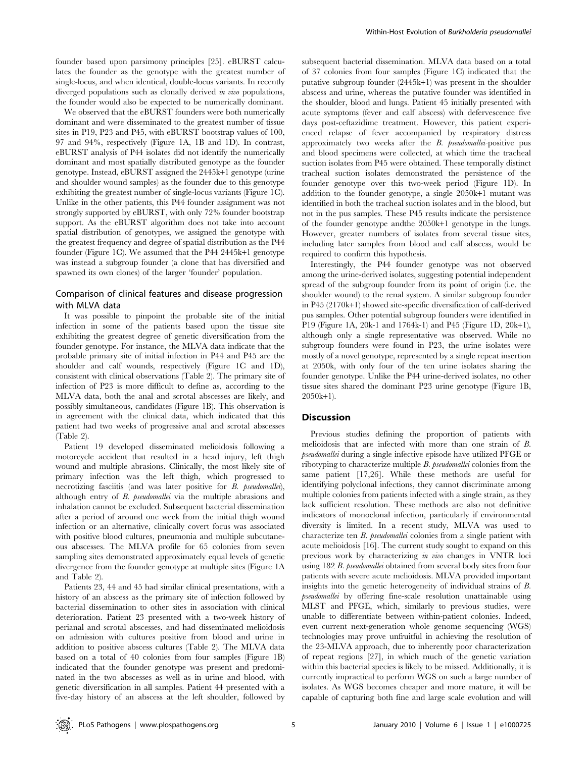founder based upon parsimony principles [25]. eBURST calculates the founder as the genotype with the greatest number of single-locus, and when identical, double-locus variants. In recently diverged populations such as clonally derived in vivo populations, the founder would also be expected to be numerically dominant.

We observed that the eBURST founders were both numerically dominant and were disseminated to the greatest number of tissue sites in P19, P23 and P45, with eBURST bootstrap values of 100, 97 and 94%, respectively (Figure 1A, 1B and 1D). In contrast, eBURST analysis of P44 isolates did not identify the numerically dominant and most spatially distributed genotype as the founder genotype. Instead, eBURST assigned the 2445k+1 genotype (urine and shoulder wound samples) as the founder due to this genotype exhibiting the greatest number of single-locus variants (Figure 1C). Unlike in the other patients, this P44 founder assignment was not strongly supported by eBURST, with only 72% founder bootstrap support. As the eBURST algorithm does not take into account spatial distribution of genotypes, we assigned the genotype with the greatest frequency and degree of spatial distribution as the P44 founder (Figure 1C). We assumed that the P44 2445k+1 genotype was instead a subgroup founder (a clone that has diversified and spawned its own clones) of the larger 'founder' population.

# Comparison of clinical features and disease progression with MLVA data

It was possible to pinpoint the probable site of the initial infection in some of the patients based upon the tissue site exhibiting the greatest degree of genetic diversification from the founder genotype. For instance, the MLVA data indicate that the probable primary site of initial infection in P44 and P45 are the shoulder and calf wounds, respectively (Figure 1C and 1D), consistent with clinical observations (Table 2). The primary site of infection of P23 is more difficult to define as, according to the MLVA data, both the anal and scrotal abscesses are likely, and possibly simultaneous, candidates (Figure 1B). This observation is in agreement with the clinical data, which indicated that this patient had two weeks of progressive anal and scrotal abscesses (Table 2).

Patient 19 developed disseminated melioidosis following a motorcycle accident that resulted in a head injury, left thigh wound and multiple abrasions. Clinically, the most likely site of primary infection was the left thigh, which progressed to necrotizing fasciitis (and was later positive for B. pseudomallei), although entry of B. pseudomallei via the multiple abrasions and inhalation cannot be excluded. Subsequent bacterial dissemination after a period of around one week from the initial thigh wound infection or an alternative, clinically covert focus was associated with positive blood cultures, pneumonia and multiple subcutaneous abscesses. The MLVA profile for 65 colonies from seven sampling sites demonstrated approximately equal levels of genetic divergence from the founder genotype at multiple sites (Figure 1A and Table 2).

Patients 23, 44 and 45 had similar clinical presentations, with a history of an abscess as the primary site of infection followed by bacterial dissemination to other sites in association with clinical deterioration. Patient 23 presented with a two-week history of perianal and scrotal abscesses, and had disseminated melioidosis on admission with cultures positive from blood and urine in addition to positive abscess cultures (Table 2). The MLVA data based on a total of 40 colonies from four samples (Figure 1B) indicated that the founder genotype was present and predominated in the two abscesses as well as in urine and blood, with genetic diversification in all samples. Patient 44 presented with a five-day history of an abscess at the left shoulder, followed by

subsequent bacterial dissemination. MLVA data based on a total of 37 colonies from four samples (Figure 1C) indicated that the putative subgroup founder (2445k+1) was present in the shoulder abscess and urine, whereas the putative founder was identified in the shoulder, blood and lungs. Patient 45 initially presented with acute symptoms (fever and calf abscess) with defervescence five days post-ceftazidime treatment. However, this patient experienced relapse of fever accompanied by respiratory distress approximately two weeks after the B. pseudomallei-positive pus and blood specimens were collected, at which time the tracheal suction isolates from P45 were obtained. These temporally distinct tracheal suction isolates demonstrated the persistence of the founder genotype over this two-week period (Figure 1D). In addition to the founder genotype, a single 2050k+1 mutant was identified in both the tracheal suction isolates and in the blood, but not in the pus samples. These P45 results indicate the persistence of the founder genotype andthe 2050k+1 genotype in the lungs. However, greater numbers of isolates from several tissue sites, including later samples from blood and calf abscess, would be required to confirm this hypothesis.

Interestingly, the P44 founder genotype was not observed among the urine-derived isolates, suggesting potential independent spread of the subgroup founder from its point of origin (i.e. the shoulder wound) to the renal system. A similar subgroup founder in P45 (2170k+1) showed site-specific diversification of calf-derived pus samples. Other potential subgroup founders were identified in P19 (Figure 1A, 20k-1 and 1764k-1) and P45 (Figure 1D, 20k+1), although only a single representative was observed. While no subgroup founders were found in P23, the urine isolates were mostly of a novel genotype, represented by a single repeat insertion at 2050k, with only four of the ten urine isolates sharing the founder genotype. Unlike the P44 urine-derived isolates, no other tissue sites shared the dominant P23 urine genotype (Figure 1B, 2050k+1).

# Discussion

Previous studies defining the proportion of patients with melioidosis that are infected with more than one strain of B. pseudomallei during a single infective episode have utilized PFGE or ribotyping to characterize multiple B. pseudomallei colonies from the same patient [17,26]. While these methods are useful for identifying polyclonal infections, they cannot discriminate among multiple colonies from patients infected with a single strain, as they lack sufficient resolution. These methods are also not definitive indicators of monoclonal infection, particularly if environmental diversity is limited. In a recent study, MLVA was used to characterize ten B. pseudomallei colonies from a single patient with acute melioidosis [16]. The current study sought to expand on this previous work by characterizing in vivo changes in VNTR loci using 182 B. *pseudomallei* obtained from several body sites from four patients with severe acute melioidosis. MLVA provided important insights into the genetic heterogeneity of individual strains of B. pseudomallei by offering fine-scale resolution unattainable using MLST and PFGE, which, similarly to previous studies, were unable to differentiate between within-patient colonies. Indeed, even current next-generation whole genome sequencing (WGS) technologies may prove unfruitful in achieving the resolution of the 23-MLVA approach, due to inherently poor characterization of repeat regions [27], in which much of the genetic variation within this bacterial species is likely to be missed. Additionally, it is currently impractical to perform WGS on such a large number of isolates. As WGS becomes cheaper and more mature, it will be capable of capturing both fine and large scale evolution and will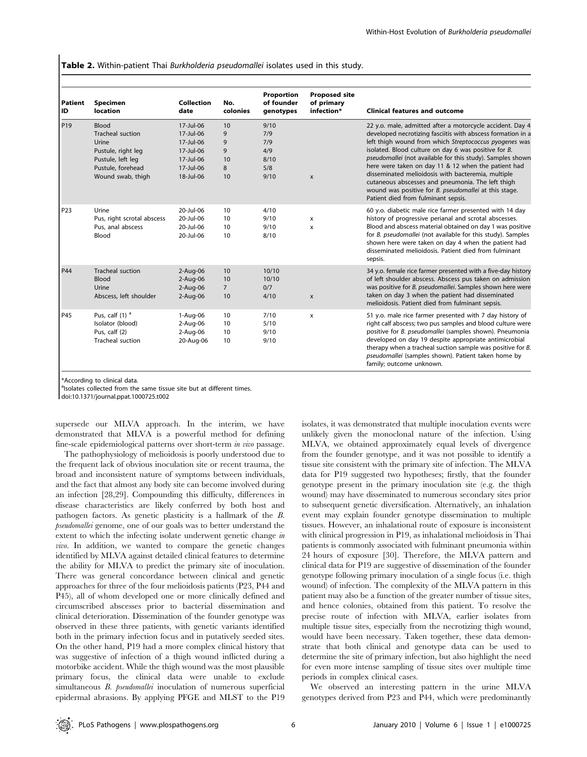Table 2. Within-patient Thai Burkholderia pseudomallei isolates used in this study.

| <b>Patient</b><br>ID | Specimen<br><b>location</b>                                                                                             | Collection<br>date                                                                            | No.<br>colonies                    | Proportion<br>of founder<br>genotypes            | <b>Proposed site</b><br>of primary<br>infection* | <b>Clinical features and outcome</b>                                                                                                                                                                                                                                                                                                                                                                                                                                                                                                                                              |
|----------------------|-------------------------------------------------------------------------------------------------------------------------|-----------------------------------------------------------------------------------------------|------------------------------------|--------------------------------------------------|--------------------------------------------------|-----------------------------------------------------------------------------------------------------------------------------------------------------------------------------------------------------------------------------------------------------------------------------------------------------------------------------------------------------------------------------------------------------------------------------------------------------------------------------------------------------------------------------------------------------------------------------------|
| P <sub>19</sub>      | Blood<br>Tracheal suction<br>Urine<br>Pustule, right leg<br>Pustule, left leg<br>Pustule, forehead<br>Wound swab, thigh | $17$ -Jul-06<br>17-Jul-06<br>$17$ -Jul-06<br>17-Jul-06<br>17-Jul-06<br>17-Jul-06<br>18-Jul-06 | 10<br>9<br>9<br>9<br>10<br>8<br>10 | 9/10<br>7/9<br>7/9<br>4/9<br>8/10<br>5/8<br>9/10 | $\mathsf{x}$                                     | 22 y.o. male, admitted after a motorcycle accident. Day 4<br>developed necrotizing fasciitis with abscess formation in a<br>left thigh wound from which Streptococcus pyogenes was<br>isolated. Blood culture on day 6 was positive for B.<br>pseudomallei (not available for this study). Samples shown<br>here were taken on day 11 & 12 when the patient had<br>disseminated melioidosis with bacteremia, multiple<br>cutaneous abscesses and pneumonia. The left thigh<br>wound was positive for <i>B. pseudomallei</i> at this stage.<br>Patient died from fulminant sepsis. |
| P23                  | Urine<br>Pus, right scrotal abscess<br>Pus, anal abscess<br>Blood                                                       | $20$ -Jul-06<br>20-Jul-06<br>$20$ -Jul-06<br>20-Jul-06                                        | 10<br>10<br>10<br>10               | 4/10<br>9/10<br>9/10<br>8/10                     | $\pmb{\mathsf{x}}$<br>х                          | 60 y.o. diabetic male rice farmer presented with 14 day<br>history of progressive perianal and scrotal abscesses.<br>Blood and abscess material obtained on day 1 was positive<br>for B. pseudomallei (not available for this study). Samples<br>shown here were taken on day 4 when the patient had<br>disseminated melioidosis. Patient died from fulminant<br>sepsis.                                                                                                                                                                                                          |
| P44                  | Tracheal suction<br><b>Blood</b><br>Urine<br>Abscess, left shoulder                                                     | $2-Auq-06$<br>$2-Auq-06$<br>$2-Auq-06$<br>$2-Auq-06$                                          | 10<br>10<br>$\overline{7}$<br>10   | 10/10<br>10/10<br>0/7<br>4/10                    | X                                                | 34 y.o. female rice farmer presented with a five-day history<br>of left shoulder abscess. Abscess pus taken on admission<br>was positive for B. pseudomallei. Samples shown here were<br>taken on day 3 when the patient had disseminated<br>melioidosis. Patient died from fulminant sepsis.                                                                                                                                                                                                                                                                                     |
| P45                  | Pus, calf $(1)$ <sup>a</sup><br>Isolator (blood)<br>Pus, calf (2)<br>Tracheal suction                                   | 1-Aug-06<br>2-Aug-06<br>2-Aug-06<br>20-Aug-06                                                 | 10<br>10<br>10<br>10               | 7/10<br>5/10<br>9/10<br>9/10                     | $\mathsf{x}$                                     | 51 y.o. male rice farmer presented with 7 day history of<br>right calf abscess; two pus samples and blood culture were<br>positive for B. pseudomallei (samples shown). Pneumonia<br>developed on day 19 despite appropriate antimicrobial<br>therapy when a tracheal suction sample was positive for B.<br>pseudomallei (samples shown). Patient taken home by<br>family; outcome unknown.                                                                                                                                                                                       |

\*According to clinical data.

<sup>a</sup>lsolates collected from the same tissue site but at different times.

doi:10.1371/journal.ppat.1000725.t002

supersede our MLVA approach. In the interim, we have demonstrated that MLVA is a powerful method for defining fine-scale epidemiological patterns over short-term in vivo passage.

The pathophysiology of melioidosis is poorly understood due to the frequent lack of obvious inoculation site or recent trauma, the broad and inconsistent nature of symptoms between individuals, and the fact that almost any body site can become involved during an infection [28,29]. Compounding this difficulty, differences in disease characteristics are likely conferred by both host and pathogen factors. As genetic plasticity is a hallmark of the B. pseudomallei genome, one of our goals was to better understand the extent to which the infecting isolate underwent genetic change in vivo. In addition, we wanted to compare the genetic changes identified by MLVA against detailed clinical features to determine the ability for MLVA to predict the primary site of inoculation. There was general concordance between clinical and genetic approaches for three of the four melioidosis patients (P23, P44 and P45), all of whom developed one or more clinically defined and circumscribed abscesses prior to bacterial dissemination and clinical deterioration. Dissemination of the founder genotype was observed in these three patients, with genetic variants identified both in the primary infection focus and in putatively seeded sites. On the other hand, P19 had a more complex clinical history that was suggestive of infection of a thigh wound inflicted during a motorbike accident. While the thigh wound was the most plausible primary focus, the clinical data were unable to exclude simultaneous B. pseudomallei inoculation of numerous superficial epidermal abrasions. By applying PFGE and MLST to the P19 isolates, it was demonstrated that multiple inoculation events were unlikely given the monoclonal nature of the infection. Using MLVA, we obtained approximately equal levels of divergence from the founder genotype, and it was not possible to identify a tissue site consistent with the primary site of infection. The MLVA data for P19 suggested two hypotheses; firstly, that the founder genotype present in the primary inoculation site (e.g. the thigh wound) may have disseminated to numerous secondary sites prior to subsequent genetic diversification. Alternatively, an inhalation event may explain founder genotype dissemination to multiple tissues. However, an inhalational route of exposure is inconsistent with clinical progression in P19, as inhalational melioidosis in Thai patients is commonly associated with fulminant pneumonia within 24 hours of exposure [30]. Therefore, the MLVA pattern and clinical data for P19 are suggestive of dissemination of the founder genotype following primary inoculation of a single focus (i.e. thigh wound) of infection. The complexity of the MLVA pattern in this patient may also be a function of the greater number of tissue sites, and hence colonies, obtained from this patient. To resolve the precise route of infection with MLVA, earlier isolates from multiple tissue sites, especially from the necrotizing thigh wound, would have been necessary. Taken together, these data demonstrate that both clinical and genotype data can be used to determine the site of primary infection, but also highlight the need for even more intense sampling of tissue sites over multiple time periods in complex clinical cases.

We observed an interesting pattern in the urine MLVA genotypes derived from P23 and P44, which were predominantly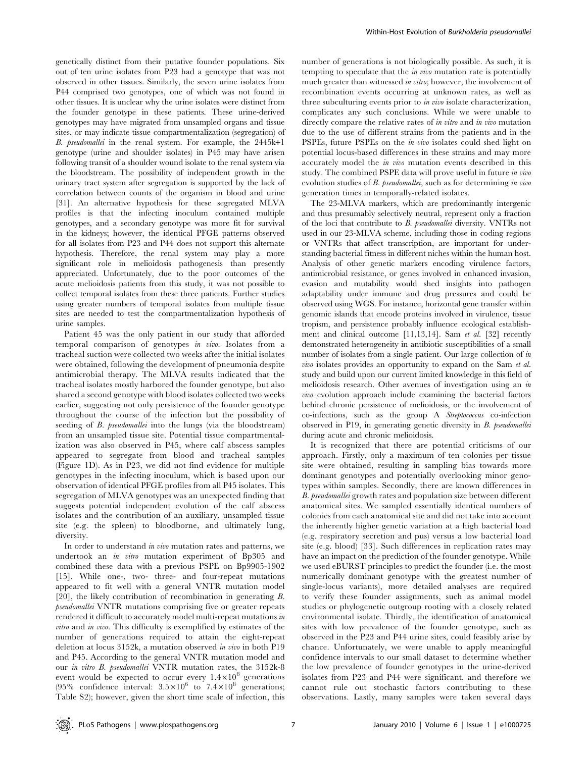genetically distinct from their putative founder populations. Six out of ten urine isolates from P23 had a genotype that was not observed in other tissues. Similarly, the seven urine isolates from P44 comprised two genotypes, one of which was not found in other tissues. It is unclear why the urine isolates were distinct from the founder genotype in these patients. These urine-derived genotypes may have migrated from unsampled organs and tissue sites, or may indicate tissue compartmentalization (segregation) of B. pseudomallei in the renal system. For example, the 2445k+1 genotype (urine and shoulder isolates) in P45 may have arisen following transit of a shoulder wound isolate to the renal system via the bloodstream. The possibility of independent growth in the urinary tract system after segregation is supported by the lack of correlation between counts of the organism in blood and urine [31]. An alternative hypothesis for these segregated MLVA profiles is that the infecting inoculum contained multiple genotypes, and a secondary genotype was more fit for survival in the kidneys; however, the identical PFGE patterns observed for all isolates from P23 and P44 does not support this alternate hypothesis. Therefore, the renal system may play a more significant role in melioidosis pathogenesis than presently appreciated. Unfortunately, due to the poor outcomes of the acute melioidosis patients from this study, it was not possible to collect temporal isolates from these three patients. Further studies using greater numbers of temporal isolates from multiple tissue sites are needed to test the compartmentalization hypothesis of urine samples.

Patient 45 was the only patient in our study that afforded temporal comparison of genotypes in vivo. Isolates from a tracheal suction were collected two weeks after the initial isolates were obtained, following the development of pneumonia despite antimicrobial therapy. The MLVA results indicated that the tracheal isolates mostly harbored the founder genotype, but also shared a second genotype with blood isolates collected two weeks earlier, suggesting not only persistence of the founder genotype throughout the course of the infection but the possibility of seeding of *B. pseudomallei* into the lungs (via the bloodstream) from an unsampled tissue site. Potential tissue compartmentalization was also observed in P45, where calf abscess samples appeared to segregate from blood and tracheal samples (Figure 1D). As in P23, we did not find evidence for multiple genotypes in the infecting inoculum, which is based upon our observation of identical PFGE profiles from all P45 isolates. This segregation of MLVA genotypes was an unexpected finding that suggests potential independent evolution of the calf abscess isolates and the contribution of an auxiliary, unsampled tissue site (e.g. the spleen) to bloodborne, and ultimately lung, diversity.

In order to understand in vivo mutation rates and patterns, we undertook an in vitro mutation experiment of Bp305 and combined these data with a previous PSPE on Bp9905-1902 [15]. While one-, two- three- and four-repeat mutations appeared to fit well with a general VNTR mutation model [20], the likely contribution of recombination in generating B. pseudomallei VNTR mutations comprising five or greater repeats rendered it difficult to accurately model multi-repeat mutations in vitro and in vivo. This difficulty is exemplified by estimates of the number of generations required to attain the eight-repeat deletion at locus 3152k, a mutation observed in vivo in both P19 and P45. According to the general VNTR mutation model and our in vitro B. pseudomallei VNTR mutation rates, the 3152k-8 event would be expected to occur every  $1.4 \times 10^8$  generations (95% confidence interval:  $3.5 \times 10^6$  to  $7.4 \times 10^8$  generations; Table S2); however, given the short time scale of infection, this

number of generations is not biologically possible. As such, it is tempting to speculate that the in vivo mutation rate is potentially much greater than witnessed in vitro; however, the involvement of recombination events occurring at unknown rates, as well as three subculturing events prior to in vivo isolate characterization, complicates any such conclusions. While we were unable to directly compare the relative rates of *in vitro* and *in vivo* mutation due to the use of different strains from the patients and in the PSPEs, future PSPEs on the in vivo isolates could shed light on potential locus-based differences in these strains and may more accurately model the in vivo mutation events described in this study. The combined PSPE data will prove useful in future in vivo evolution studies of B. pseudomallei, such as for determining in vivo generation times in temporally-related isolates.

The 23-MLVA markers, which are predominantly intergenic and thus presumably selectively neutral, represent only a fraction of the loci that contribute to B. pseudomallei diversity. VNTRs not used in our 23-MLVA scheme, including those in coding regions or VNTRs that affect transcription, are important for understanding bacterial fitness in different niches within the human host. Analysis of other genetic markers encoding virulence factors, antimicrobial resistance, or genes involved in enhanced invasion, evasion and mutability would shed insights into pathogen adaptability under immune and drug pressures and could be observed using WGS. For instance, horizontal gene transfer within genomic islands that encode proteins involved in virulence, tissue tropism, and persistence probably influence ecological establishment and clinical outcome [11,13,14]. Sam et al. [32] recently demonstrated heterogeneity in antibiotic susceptibilities of a small number of isolates from a single patient. Our large collection of in *vivo* isolates provides an opportunity to expand on the Sam et al. study and build upon our current limited knowledge in this field of melioidosis research. Other avenues of investigation using an in vivo evolution approach include examining the bacterial factors behind chronic persistence of melioidosis, or the involvement of co-infections, such as the group A Streptococcus co-infection observed in P19, in generating genetic diversity in B. pseudomallei during acute and chronic melioidosis.

It is recognized that there are potential criticisms of our approach. Firstly, only a maximum of ten colonies per tissue site were obtained, resulting in sampling bias towards more dominant genotypes and potentially overlooking minor genotypes within samples. Secondly, there are known differences in B. pseudomallei growth rates and population size between different anatomical sites. We sampled essentially identical numbers of colonies from each anatomical site and did not take into account the inherently higher genetic variation at a high bacterial load (e.g. respiratory secretion and pus) versus a low bacterial load site (e.g. blood) [33]. Such differences in replication rates may have an impact on the prediction of the founder genotype. While we used eBURST principles to predict the founder (i.e. the most numerically dominant genotype with the greatest number of single-locus variants), more detailed analyses are required to verify these founder assignments, such as animal model studies or phylogenetic outgroup rooting with a closely related environmental isolate. Thirdly, the identification of anatomical sites with low prevalence of the founder genotype, such as observed in the P23 and P44 urine sites, could feasibly arise by chance. Unfortunately, we were unable to apply meaningful confidence intervals to our small dataset to determine whether the low prevalence of founder genotypes in the urine-derived isolates from P23 and P44 were significant, and therefore we cannot rule out stochastic factors contributing to these observations. Lastly, many samples were taken several days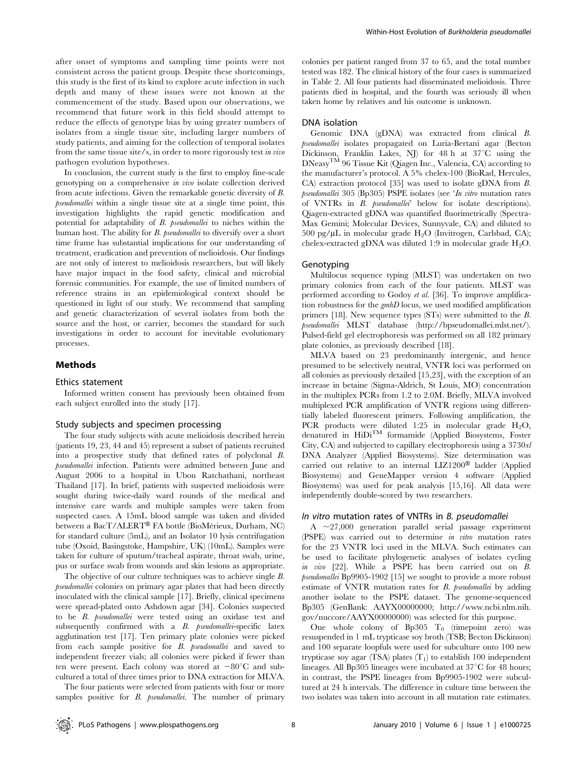after onset of symptoms and sampling time points were not consistent across the patient group. Despite these shortcomings, this study is the first of its kind to explore acute infection in such depth and many of these issues were not known at the commencement of the study. Based upon our observations, we recommend that future work in this field should attempt to reduce the effects of genotype bias by using greater numbers of isolates from a single tissue site, including larger numbers of study patients, and aiming for the collection of temporal isolates from the same tissue site/s, in order to more rigorously test in vivo pathogen evolution hypotheses.

In conclusion, the current study is the first to employ fine-scale genotyping on a comprehensive in vivo isolate collection derived from acute infections. Given the remarkable genetic diversity of B. pseudomallei within a single tissue site at a single time point, this investigation highlights the rapid genetic modification and potential for adaptability of B. pseudomallei to niches within the human host. The ability for *B. pseudomallei* to diversify over a short time frame has substantial implications for our understanding of treatment, eradication and prevention of melioidosis. Our findings are not only of interest to melioidosis researchers, but will likely have major impact in the food safety, clinical and microbial forensic communities. For example, the use of limited numbers of reference strains in an epidemiological context should be questioned in light of our study. We recommend that sampling and genetic characterization of several isolates from both the source and the host, or carrier, becomes the standard for such investigations in order to account for inevitable evolutionary processes.

# Methods

## Ethics statement

Informed written consent has previously been obtained from each subject enrolled into the study [17].

#### Study subjects and specimen processing

The four study subjects with acute melioidosis described herein (patients 19, 23, 44 and 45) represent a subset of patients recruited into a prospective study that defined rates of polyclonal B. pseudomallei infection. Patients were admitted between June and August 2006 to a hospital in Ubon Ratchathani, northeast Thailand [17]. In brief, patients with suspected melioidosis were sought during twice-daily ward rounds of the medical and intensive care wards and multiple samples were taken from suspected cases. A 15mL blood sample was taken and divided between a BacT/ALERT® FA bottle (BioMérieux, Durham, NC) for standard culture (5mL), and an Isolator 10 lysis centrifugation tube (Oxoid, Basingstoke, Hampshire, UK) (10mL). Samples were taken for culture of sputum/tracheal aspirate, throat swab, urine, pus or surface swab from wounds and skin lesions as appropriate.

The objective of our culture techniques was to achieve single B. pseudomallei colonies on primary agar plates that had been directly inoculated with the clinical sample [17]. Briefly, clinical specimens were spread-plated onto Ashdown agar [34]. Colonies suspected to be B. pseudomallei were tested using an oxidase test and subsequently confirmed with a B. pseudomallei-specific latex agglutination test [17]. Ten primary plate colonies were picked from each sample positive for B. pseudomallei and saved to independent freezer vials; all colonies were picked if fewer than ten were present. Each colony was stored at  $-80^{\circ}$ C and subcultured a total of three times prior to DNA extraction for MLVA.

The four patients were selected from patients with four or more samples positive for *B. pseudomallei*. The number of primary colonies per patient ranged from 37 to 65, and the total number tested was 182. The clinical history of the four cases is summarized in Table 2. All four patients had disseminated melioidosis. Three patients died in hospital, and the fourth was seriously ill when taken home by relatives and his outcome is unknown.

#### DNA isolation

Genomic DNA (gDNA) was extracted from clinical B. pseudomallei isolates propagated on Luria-Bertani agar (Becton Dickinson, Franklin Lakes, NJ) for 48 h at  $37^{\circ}$ C using the DNeasyTM 96 Tissue Kit (Qiagen Inc., Valencia, CA) according to the manufacturer's protocol. A 5% chelex-100 (BioRad, Hercules, CA) extraction protocol [35] was used to isolate gDNA from B. pseudomallei 305 (Bp305) PSPE isolates (see 'In vitro mutation rates of VNTRs in B. pseudomallei' below for isolate descriptions). Qiagen-extracted gDNA was quantified fluorimetrically (Spectra-Max Gemini; Molecular Devices, Sunnyvale, CA) and diluted to 500 pg/ $\mu$ L in molecular grade H<sub>2</sub>O (Invitrogen, Carlsbad, CA); chelex-extracted gDNA was diluted 1:9 in molecular grade  $H_2O$ .

## Genotyping

Multilocus sequence typing (MLST) was undertaken on two primary colonies from each of the four patients. MLST was performed according to Godoy et al. [36]. To improve amplification robustness for the gmhD locus, we used modified amplification primers [18]. New sequence types (STs) were submitted to the B. pseudomallei MLST database (http://bpseudomallei.mlst.net/). Pulsed-field gel electrophoresis was performed on all 182 primary plate colonies, as previously described [18].

MLVA based on 23 predominantly intergenic, and hence presumed to be selectively neutral, VNTR loci was performed on all colonies as previously detailed [15,23], with the exception of an increase in betaine (Sigma-Aldrich, St Louis, MO) concentration in the multiplex PCRs from 1.2 to 2.0M. Briefly, MLVA involved multiplexed PCR amplification of VNTR regions using differentially labeled fluorescent primers. Following amplification, the PCR products were diluted 1:25 in molecular grade  $H_2O$ , denatured in HiDiTM formamide (Applied Biosystems, Foster City, CA) and subjected to capillary electrophoresis using a 3730xl DNA Analyzer (Applied Biosystems). Size determination was carried out relative to an internal  $\text{LIZ1200}^{\circ}\text{\text{}}$  ladder (Applied Biosystems) and GeneMapper version 4 software (Applied Biosystems) was used for peak analysis [15,16]. All data were independently double-scored by two researchers.

## In vitro mutation rates of VNTRs in B. pseudomallei

A  $\sim$ 27,000 generation parallel serial passage experiment (PSPE) was carried out to determine in vitro mutation rates for the 23 VNTR loci used in the MLVA. Such estimates can be used to facilitate phylogenetic analyses of isolates cycling in vivo [22]. While a PSPE has been carried out on B. pseudomallei Bp9905-1902 [15] we sought to provide a more robust estimate of VNTR mutation rates for *B. pseudomallei* by adding another isolate to the PSPE dataset. The genome-sequenced Bp305 (GenBank: AAYX00000000; http://www.ncbi.nlm.nih. gov/nuccore/AAYX00000000) was selected for this purpose.

One whole colony of  $Bp305$   $T_0$  (timepoint zero) was resuspended in 1 mL trypticase soy broth (TSB; Becton Dickinson) and 100 separate loopfuls were used for subculture onto 100 new trypticase soy agar (TSA) plates  $(T_1)$  to establish 100 independent lineages. All Bp305 lineages were incubated at  $37^{\circ}$ C for 48 hours; in contrast, the PSPE lineages from Bp9905-1902 were subcultured at 24 h intervals. The difference in culture time between the two isolates was taken into account in all mutation rate estimates.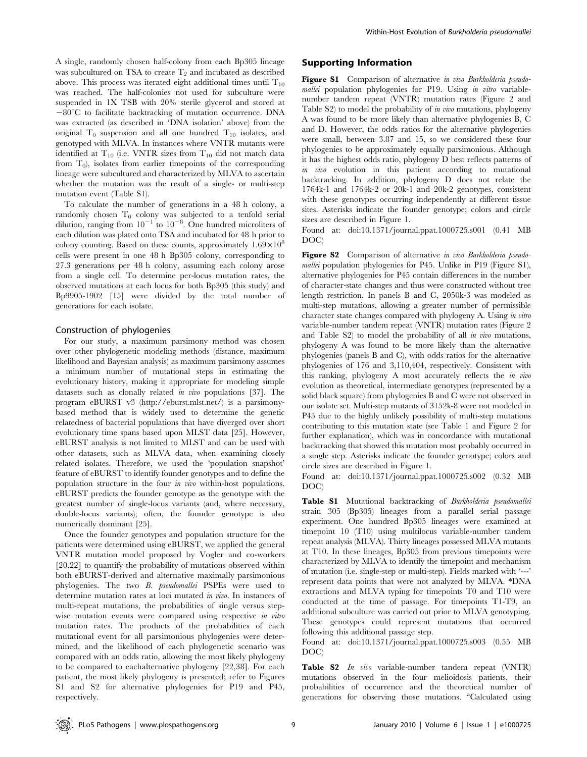A single, randomly chosen half-colony from each Bp305 lineage was subcultured on TSA to create  $T_2$  and incubated as described above. This process was iterated eight additional times until  $T_{10}$ was reached. The half-colonies not used for subculture were suspended in 1X TSB with 20% sterile glycerol and stored at  $-80^{\circ}$ C to facilitate backtracking of mutation occurrence. DNA was extracted (as described in 'DNA isolation' above) from the original  $T_0$  suspension and all one hundred  $T_{10}$  isolates, and genotyped with MLVA. In instances where VNTR mutants were identified at  $T_{10}$  (i.e. VNTR sizes from  $T_{10}$  did not match data from  $T_0$ ), isolates from earlier timepoints of the corresponding lineage were subcultured and characterized by MLVA to ascertain whether the mutation was the result of a single- or multi-step mutation event (Table S1).

To calculate the number of generations in a 48 h colony, a randomly chosen  $T_0$  colony was subjected to a tenfold serial dilution, ranging from  $10^{-1}$  to  $10^{-8}$ . One hundred microliters of each dilution was plated onto TSA and incubated for 48 h prior to colony counting. Based on these counts, approximately  $1.69\times10^8$ cells were present in one 48 h Bp305 colony, corresponding to 27.3 generations per 48 h colony, assuming each colony arose from a single cell. To determine per-locus mutation rates, the observed mutations at each locus for both Bp305 (this study) and Bp9905-1902 [15] were divided by the total number of generations for each isolate.

## Construction of phylogenies

For our study, a maximum parsimony method was chosen over other phylogenetic modeling methods (distance, maximum likelihood and Bayesian analysis) as maximum parsimony assumes a minimum number of mutational steps in estimating the evolutionary history, making it appropriate for modeling simple datasets such as clonally related *in vivo* populations [37]. The program eBURST v3 (http://eburst.mlst.net/) is a parsimonybased method that is widely used to determine the genetic relatedness of bacterial populations that have diverged over short evolutionary time spans based upon MLST data [25]. However, eBURST analysis is not limited to MLST and can be used with other datasets, such as MLVA data, when examining closely related isolates. Therefore, we used the 'population snapshot' feature of eBURST to identify founder genotypes and to define the population structure in the four in vivo within-host populations. eBURST predicts the founder genotype as the genotype with the greatest number of single-locus variants (and, where necessary, double-locus variants); often, the founder genotype is also numerically dominant [25].

Once the founder genotypes and population structure for the patients were determined using eBURST, we applied the general VNTR mutation model proposed by Vogler and co-workers [20,22] to quantify the probability of mutations observed within both eBURST-derived and alternative maximally parsimonious phylogenies. The two B. pseudomallei PSPEs were used to determine mutation rates at loci mutated in vivo. In instances of multi-repeat mutations, the probabilities of single versus stepwise mutation events were compared using respective in vitro mutation rates. The products of the probabilities of each mutational event for all parsimonious phylogenies were determined, and the likelihood of each phylogenetic scenario was compared with an odds ratio, allowing the most likely phylogeny to be compared to eachalternative phylogeny [22,38]. For each patient, the most likely phylogeny is presented; refer to Figures S1 and S2 for alternative phylogenies for P19 and P45, respectively.

## Supporting Information

Figure S1 Comparison of alternative in vivo Burkholderia pseudomallei population phylogenies for P19. Using in vitro variablenumber tandem repeat (VNTR) mutation rates (Figure 2 and Table S2) to model the probability of in vivo mutations, phylogeny A was found to be more likely than alternative phylogenies B, C and D. However, the odds ratios for the alternative phylogenies were small, between 3.87 and 15, so we considered these four phylogenies to be approximately equally parsimonious. Although it has the highest odds ratio, phylogeny D best reflects patterns of in vivo evolution in this patient according to mutational backtracking. In addition, phylogeny D does not relate the 1764k-1 and 1764k-2 or 20k-1 and 20k-2 genotypes, consistent with these genotypes occurring independently at different tissue sites. Asterisks indicate the founder genotype; colors and circle sizes are described in Figure 1.

Found at: doi:10.1371/journal.ppat.1000725.s001 (0.41 MB DOC)

Figure S2 Comparison of alternative in vivo Burkholderia pseudomallei population phylogenies for P45. Unlike in P19 (Figure S1), alternative phylogenies for P45 contain differences in the number of character-state changes and thus were constructed without tree length restriction. In panels B and C, 2050k-3 was modeled as multi-step mutations, allowing a greater number of permissible character state changes compared with phylogeny A. Using in vitro variable-number tandem repeat (VNTR) mutation rates (Figure 2 and Table S2) to model the probability of all in vivo mutations, phylogeny A was found to be more likely than the alternative phylogenies (panels B and C), with odds ratios for the alternative phylogenies of 176 and 3,110,404, respectively. Consistent with this ranking, phylogeny A most accurately reflects the in vivo evolution as theoretical, intermediate genotypes (represented by a solid black square) from phylogenies B and C were not observed in our isolate set. Multi-step mutants of 3152k-8 were not modeled in P45 due to the highly unlikely possibility of multi-step mutations contributing to this mutation state (see Table 1 and Figure 2 for further explanation), which was in concordance with mutational backtracking that showed this mutation most probably occurred in a single step. Asterisks indicate the founder genotype; colors and circle sizes are described in Figure 1.

Found at: doi:10.1371/journal.ppat.1000725.s002 (0.32 MB DOC)

Table S1 Mutational backtracking of Burkholderia pseudomallei strain 305 (Bp305) lineages from a parallel serial passage experiment. One hundred Bp305 lineages were examined at timepoint 10 (T10) using multilocus variable-number tandem repeat analysis (MLVA). Thirty lineages possessed MLVA mutants at T10. In these lineages, Bp305 from previous timepoints were characterized by MLVA to identify the timepoint and mechanism of mutation (i.e. single-step or multi-step). Fields marked with '---' represent data points that were not analyzed by MLVA. \*DNA extractions and MLVA typing for timepoints T0 and T10 were conducted at the time of passage. For timepoints T1-T9, an additional subculture was carried out prior to MLVA genotyping. These genotypes could represent mutations that occurred following this additional passage step.

Found at: doi:10.1371/journal.ppat.1000725.s003 (0.55 MB DOC)

Table S2 In vivo variable-number tandem repeat (VNTR) mutations observed in the four melioidosis patients, their probabilities of occurrence and the theoretical number of enerations for observing those mutations. <sup>a</sup>Calculated using